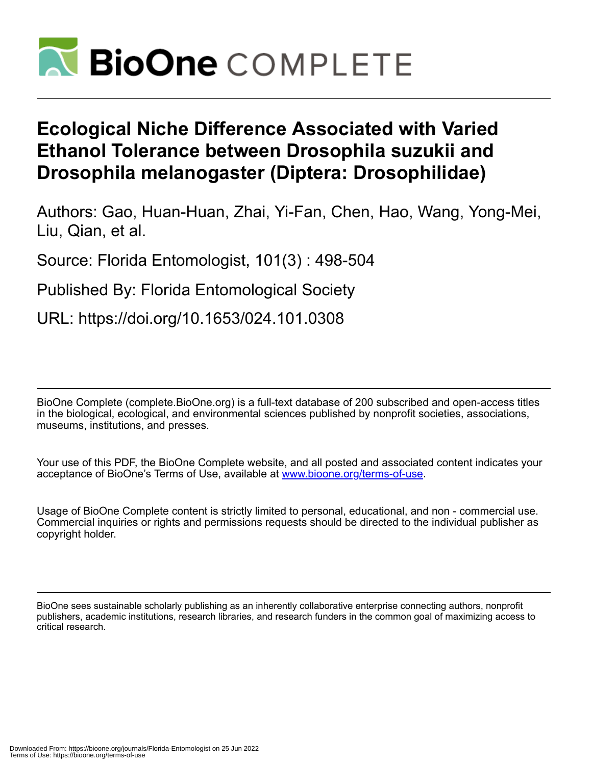

# **Ecological Niche Difference Associated with Varied Ethanol Tolerance between Drosophila suzukii and Drosophila melanogaster (Diptera: Drosophilidae)**

Authors: Gao, Huan-Huan, Zhai, Yi-Fan, Chen, Hao, Wang, Yong-Mei, Liu, Qian, et al.

Source: Florida Entomologist, 101(3) : 498-504

Published By: Florida Entomological Society

URL: https://doi.org/10.1653/024.101.0308

BioOne Complete (complete.BioOne.org) is a full-text database of 200 subscribed and open-access titles in the biological, ecological, and environmental sciences published by nonprofit societies, associations, museums, institutions, and presses.

Your use of this PDF, the BioOne Complete website, and all posted and associated content indicates your acceptance of BioOne's Terms of Use, available at www.bioone.org/terms-of-use.

Usage of BioOne Complete content is strictly limited to personal, educational, and non - commercial use. Commercial inquiries or rights and permissions requests should be directed to the individual publisher as copyright holder.

BioOne sees sustainable scholarly publishing as an inherently collaborative enterprise connecting authors, nonprofit publishers, academic institutions, research libraries, and research funders in the common goal of maximizing access to critical research.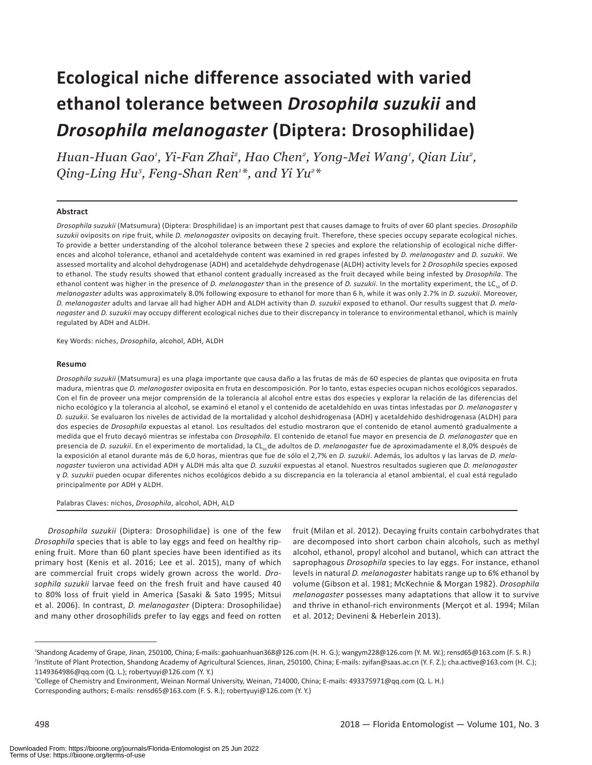# **Ecological niche difference associated with varied ethanol tolerance between** *Drosophila suzukii* **and**  *Drosophila melanogaster* **(Diptera: Drosophilidae)**

*Huan-Huan Gao1 , Yi-Fan Zhai2 , Hao Chen2 , Yong-Mei Wang1 , Qian Liu2 , Qing-Ling Hu3 , Feng-Shan Ren1 \*, and Yi Yu2 \**

## **Abstract**

*Drosophila suzukii* (Matsumura) (Diptera: Drosphilidae) is an important pest that causes damage to fruits of over 60 plant species. *Drosophila suzukii* oviposits on ripe fruit, while *D. melanogaster* oviposits on decaying fruit. Therefore, these species occupy separate ecological niches. To provide a better understanding of the alcohol tolerance between these 2 species and explore the relationship of ecological niche differences and alcohol tolerance, ethanol and acetaldehyde content was examined in red grapes infested by *D. melanogaster* and *D. suzukii*. We assessed mortality and alcohol dehydrogenase (ADH) and acetaldehyde dehydrogenase (ALDH) activity levels for 2 *Drosophila* species exposed to ethanol. The study results showed that ethanol content gradually increased as the fruit decayed while being infested by *Drosophila*. The ethanol content was higher in the presence of *D. melanogaster* than in the presence of *D. suzukii*. In the mortality experiment, the LC<sub>50</sub> of *D. melanogaster* adults was approximately 8.0% following exposure to ethanol for more than 6 h, while it was only 2.7% in *D. suzukii*. Moreover, *D. melanogaster* adults and larvae all had higher ADH and ALDH activity than *D. suzukii* exposed to ethanol. Our results suggest that *D. melanogaster* and *D. suzukii* may occupy different ecological niches due to their discrepancy in tolerance to environmental ethanol, which is mainly regulated by ADH and ALDH.

Key Words: niches, *Drosophila*, alcohol, ADH, ALDH

### **Resumo**

*Drosophila suzukii* (Matsumura) es una plaga importante que causa daño a las frutas de más de 60 especies de plantas que oviposita en fruta madura, mientras que *D. melanogaste*r oviposita en fruta en descomposición. Por lo tanto, estas especies ocupan nichos ecológicos separados. Con el fin de proveer una mejor comprensión de la tolerancia al alcohol entre estas dos especies y explorar la relación de las diferencias del nicho ecológico y la tolerancia al alcohol, se examinó el etanol y el contenido de acetaldehído en uvas tintas infestadas por *D. melanogaster* y *D. suzukii*. Se evaluaron los niveles de actividad de la mortalidad y alcohol deshidrogenasa (ADH) y acetaldehído deshidrogenasa (ALDH) para dos especies de *Drosophila* expuestas al etanol. Los resultados del estudio mostraron que el contenido de etanol aumentó gradualmente a medida que el fruto decayó mientras se infestaba con *Drosophila*. El contenido de etanol fue mayor en presencia de *D. melanogaster* que en presencia de *D. suzukii*. En el experimento de mortalidad, la CL<sub>so</sub>de adultos de *D. melanogaster* fue de aproximadamente el 8,0% después de la exposición al etanol durante más de 6,0 horas, mientras que fue de sólo el 2,7% en *D. suzukii*. Además, los adultos y las larvas de *D. melanogaster* tuvieron una actividad ADH y ALDH más alta que *D. suzukii* expuestas al etanol. Nuestros resultados sugieren que *D. melanogaster* y *D. suzukii* pueden ocupar diferentes nichos ecológicos debido a su discrepancia en la tolerancia al etanol ambiental, el cual está regulado principalmente por ADH y ALDH.

Palabras Claves: nichos, *Drosophila*, alcohol, ADH, ALD

*Drosophila suzukii* (Diptera: Drosophilidae) is one of the few *Drosophila* species that is able to lay eggs and feed on healthy ripening fruit. More than 60 plant species have been identified as its primary host (Kenis et al. 2016; Lee et al. 2015), many of which are commercial fruit crops widely grown across the world. *Drosophila suzukii* larvae feed on the fresh fruit and have caused 40 to 80% loss of fruit yield in America (Sasaki & Sato 1995; Mitsui et al. 2006). In contrast, *D. melanogaster* (Diptera: Drosophilidae) and many other drosophilids prefer to lay eggs and feed on rotten

fruit (Milan et al. 2012). Decaying fruits contain carbohydrates that are decomposed into short carbon chain alcohols, such as methyl alcohol, ethanol, propyl alcohol and butanol, which can attract the saprophagous *Drosophila* species to lay eggs. For instance, ethanol levels in natural *D. melanogaster* habitats range up to 6% ethanol by volume (Gibson et al. 1981; McKechnie & Morgan 1982). *Drosophila melanogaster* possesses many adaptations that allow it to survive and thrive in ethanol-rich environments (Merçot et al. 1994; Milan et al. 2012; Devineni & Heberlein 2013).

<sup>1</sup> Shandong Academy of Grape, Jinan, 250100, China; E-mails: gaohuanhuan368@126.com (H. H. G.); wangym228@126.com (Y. M. W.); rensd65@163.com (F. S. R.) 2 Institute of Plant Protection, Shandong Academy of Agricultural Sciences, Jinan, 250100, China; E-mails: zyifan@saas.ac.cn (Y. F. Z.); cha.active@163.com (H. C.); 1149364986@qq.com (Q. L.); robertyuyi@126.com (Y. Y.)

<sup>&</sup>lt;sup>3</sup>College of Chemistry and Environment, Weinan Normal University, Weinan, 714000, China; E-mails: 493375971@qq.com (Q. L. H.) Corresponding authors; E-mails: rensd65@163.com (F. S. R.); robertyuyi@126.com (Y. Y.)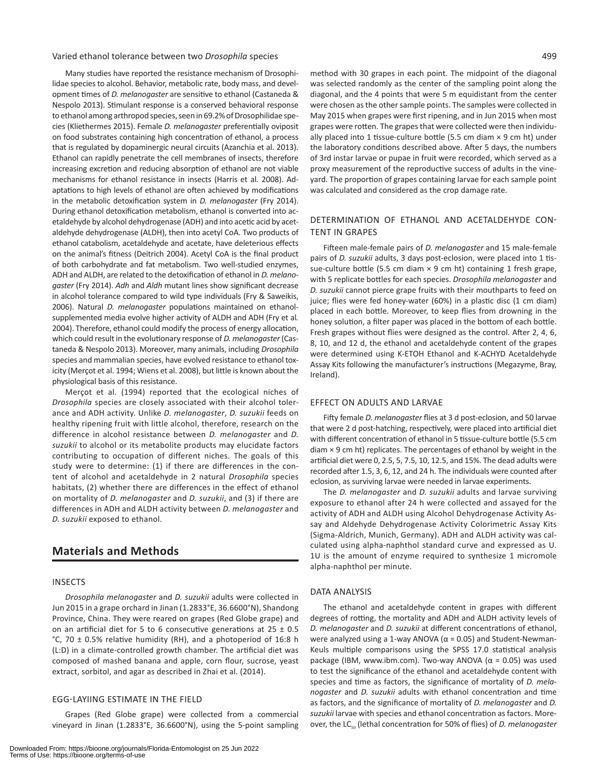# Varied ethanol tolerance between two *Drosophila* species 499

Many studies have reported the resistance mechanism of Drosophilidae species to alcohol. Behavior, metabolic rate, body mass, and development times of *D. melanogaster* are sensitive to ethanol (Castaneda & Nespolo 2013). Stimulant response is a conserved behavioral response to ethanol among arthropod species, seen in 69.2% of Drosophilidae species (Kliethermes 2015). Female *D. melanogaster* preferentially oviposit on food substrates containing high concentration of ethanol, a process that is regulated by dopaminergic neural circuits (Azanchia et al. 2013). Ethanol can rapidly penetrate the cell membranes of insects, therefore increasing excretion and reducing absorption of ethanol are not viable mechanisms for ethanol resistance in insects (Harris et al*.* 2008). Adaptations to high levels of ethanol are often achieved by modifications in the metabolic detoxification system in *D. melanogaster* (Fry 2014). During ethanol detoxification metabolism, ethanol is converted into acetaldehyde by alcohol dehydrogenase (ADH) and into acetic acid by acetaldehyde dehydrogenase (ALDH), then into acetyl CoA. Two products of ethanol catabolism, acetaldehyde and acetate, have deleterious effects on the animal's fitness (Deitrich 2004). Acetyl CoA is the final product of both carbohydrate and fat metabolism. Two well-studied enzymes, ADH and ALDH, are related to the detoxification of ethanol in *D. melanogaster* (Fry 2014). *Adh* and *Aldh* mutant lines show significant decrease in alcohol tolerance compared to wild type individuals (Fry & Saweikis, 2006). Natural *D. melanogaster* populations maintained on ethanolsupplemented media evolve higher activity of ALDH and ADH (Fry et al*.* 2004). Therefore, ethanol could modify the process of energy allocation, which could result in the evolutionary response of *D. melanogaster* (Castaneda & Nespolo 2013). Moreover, many animals, including *Drosophila* species and mammalian species, have evolved resistance to ethanol toxicity (Merçot et al. 1994; Wiens et al. 2008), but little is known about the physiological basis of this resistance.

Merçot et al*.* (1994) reported that the ecological niches of *Drosophila* species are closely associated with their alcohol tolerance and ADH activity. Unlike *D. melanogaster*, *D. suzukii* feeds on healthy ripening fruit with little alcohol, therefore, research on the difference in alcohol resistance between *D. melanogaster* and *D. suzukii* to alcohol or its metabolite products may elucidate factors contributing to occupation of different niches. The goals of this study were to determine: (1) if there are differences in the content of alcohol and acetaldehyde in 2 natural *Drosophila* species habitats, (2) whether there are differences in the effect of ethanol on mortality of *D. melanogaster* and *D. suzukii*, and (3) if there are differences in ADH and ALDH activity between *D. melanogaster* and *D. suzukii* exposed to ethanol.

# **Materials and Methods**

## INSECTS

*Drosophila melanogaster* and *D. suzukii* adults were collected in Jun 2015 in a grape orchard in Jinan (1.2833°E, 36.6600°N), Shandong Province, China. They were reared on grapes (Red Globe grape) and on an artificial diet for 5 to 6 consecutive generations at  $25 \pm 0.5$ °C, 70  $\pm$  0.5% relative humidity (RH), and a photoperiod of 16:8 h (L:D) in a climate-controlled growth chamber. The artificial diet was composed of mashed banana and apple, corn flour, sucrose, yeast extract, sorbitol, and agar as described in Zhai et al. (2014).

#### EGG-LAYIING ESTIMATE IN THE FIELD

Grapes (Red Globe grape) were collected from a commercial vineyard in Jinan (1.2833°E, 36.6600°N), using the 5-point sampling

method with 30 grapes in each point. The midpoint of the diagonal was selected randomly as the center of the sampling point along the diagonal, and the 4 points that were 5 m equidistant from the center were chosen as the other sample points. The samples were collected in May 2015 when grapes were first ripening, and in Jun 2015 when most grapes were rotten. The grapes that were collected were then individually placed into 1 tissue-culture bottle (5.5 cm diam  $\times$  9 cm ht) under the laboratory conditions described above. After 5 days, the numbers of 3rd instar larvae or pupae in fruit were recorded, which served as a proxy measurement of the reproductive success of adults in the vineyard. The proportion of grapes containing larvae for each sample point was calculated and considered as the crop damage rate.

# DETERMINATION OF ETHANOL AND ACETALDEHYDE CON-TENT IN GRAPES

Fifteen male-female pairs of *D. melanogaster* and 15 male-female pairs of *D. suzukii* adults, 3 days post-eclosion, were placed into 1 tissue-culture bottle (5.5 cm diam  $\times$  9 cm ht) containing 1 fresh grape, with 5 replicate bottles for each species. *Drosophila melanogaster* and *D. suzukii* cannot pierce grape fruits with their mouthparts to feed on juice; flies were fed honey-water (60%) in a plastic disc (1 cm diam) placed in each bottle. Moreover, to keep flies from drowning in the honey solution, a filter paper was placed in the bottom of each bottle. Fresh grapes without flies were designed as the control. After 2, 4, 6, 8, 10, and 12 d, the ethanol and acetaldehyde content of the grapes were determined using K-ETOH Ethanol and K-ACHYD Acetaldehyde Assay Kits following the manufacturer's instructions (Megazyme, Bray, Ireland).

# EFFECT ON ADULTS AND LARVAE

Fifty female *D. melanogaster* flies at 3 d post-eclosion, and 50 larvae that were 2 d post-hatching, respectively, were placed into artificial diet with different concentration of ethanol in 5 tissue-culture bottle (5.5 cm diam × 9 cm ht) replicates. The percentages of ethanol by weight in the artificial diet were 0, 2.5, 5, 7.5, 10, 12.5, and 15%. The dead adults were recorded after 1.5, 3, 6, 12, and 24 h. The individuals were counted after eclosion, as surviving larvae were needed in larvae experiments.

The *D. melanogaster* and *D. suzukii* adults and larvae surviving exposure to ethanol after 24 h were collected and assayed for the activity of ADH and ALDH using Alcohol Dehydrogenase Activity Assay and Aldehyde Dehydrogenase Activity Colorimetric Assay Kits (Sigma-Aldrich, Munich, Germany). ADH and ALDH activity was calculated using alpha-naphthol standard curve and expressed as U. 1U is the amount of enzyme required to synthesize 1 micromole alpha-naphthol per minute.

#### DATA ANALYSIS

The ethanol and acetaldehyde content in grapes with different degrees of rotting, the mortality and ADH and ALDH activity levels of *D. melanogaster* and *D. suzukii* at different concentrations of ethanol, were analyzed using a 1-way ANOVA ( $\alpha$  = 0.05) and Student-Newman-Keuls multiple comparisons using the SPSS 17.0 statistical analysis package (IBM, www.ibm.com). Two-way ANOVA (α = 0.05) was used to test the significance of the ethanol and acetaldehyde content with species and time as factors, the significance of mortality of *D. melanogaster* and *D. suzukii* adults with ethanol concentration and time as factors, and the significance of mortality of *D. melanogaster* and *D. suzukii* larvae with species and ethanol concentration as factors. Moreover, the LC<sub>50</sub> (lethal concentration for 50% of flies) of *D. melanogaster*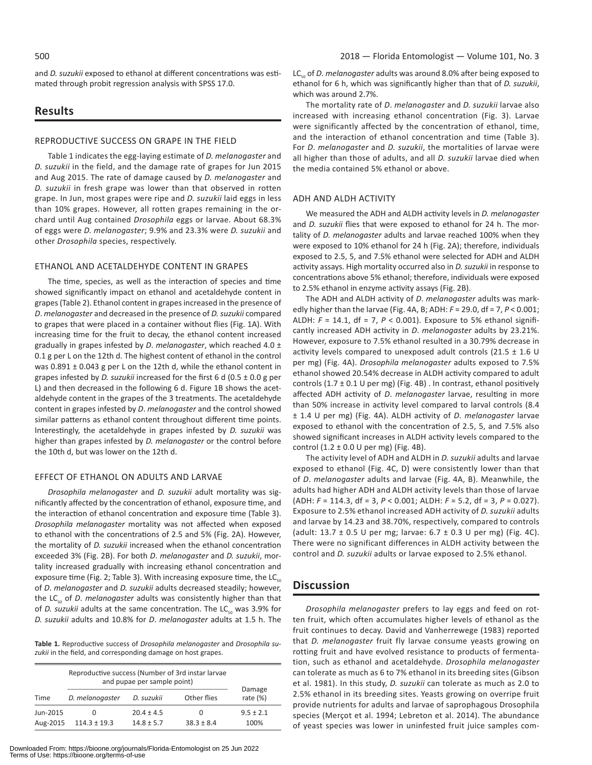and *D. suzukii* exposed to ethanol at different concentrations was estimated through probit regression analysis with SPSS 17.0.

# **Results**

## REPRODUCTIVE SUCCESS ON GRAPE IN THE FIELD

Table 1 indicates the egg-laying estimate of *D. melanogaster* and *D. suzukii* in the field, and the damage rate of grapes for Jun 2015 and Aug 2015. The rate of damage caused by *D. melanogaster* and *D. suzukii* in fresh grape was lower than that observed in rotten grape. In Jun, most grapes were ripe and *D. suzukii* laid eggs in less than 10% grapes. However, all rotten grapes remaining in the orchard until Aug contained *Drosophila* eggs or larvae. About 68.3% of eggs were *D. melanogaster*; 9.9% and 23.3% were *D. suzukii* and other *Drosophila* species, respectively.

# ETHANOL AND ACETALDEHYDE CONTENT IN GRAPES

The time, species, as well as the interaction of species and time showed significantly impact on ethanol and acetaldehyde content in grapes (Table 2). Ethanol content in grapes increased in the presence of *D*. *melanogaster* and decreased in the presence of *D. suzukii* compared to grapes that were placed in a container without flies (Fig. 1A). With increasing time for the fruit to decay, the ethanol content increased gradually in grapes infested by *D*. *melanogaster*, which reached 4.0 ± 0.1 g per L on the 12th d. The highest content of ethanol in the control was 0.891 ± 0.043 g per L on the 12th d, while the ethanol content in grapes infested by *D. suzukii* increased for the first 6 d (0.5 ± 0.0 g per L) and then decreased in the following 6 d. Figure 1B shows the acetaldehyde content in the grapes of the 3 treatments. The acetaldehyde content in grapes infested by *D*. *melanogaster* and the control showed similar patterns as ethanol content throughout different time points. Interestingly, the acetaldehyde in grapes infested by *D. suzukii* was higher than grapes infested by *D. melanogaster* or the control before the 10th d, but was lower on the 12th d.

# EFFECT OF ETHANOL ON ADULTS AND LARVAE

*Drosophila melanogaster* and *D. suzukii* adult mortality was significantly affected by the concentration of ethanol, exposure time, and the interaction of ethanol concentration and exposure time (Table 3). *Drosophila melanogaster* mortality was not affected when exposed to ethanol with the concentrations of 2.5 and 5% (Fig. 2A). However, the mortality of *D. suzukii* increased when the ethanol concentration exceeded 3% (Fig. 2B). For both *D*. *melanogaster* and *D. suzukii*, mortality increased gradually with increasing ethanol concentration and exposure time (Fig. 2; Table 3). With increasing exposure time, the  $LC_{50}$ of *D*. *melanogaster* and *D. suzukii* adults decreased steadily; however, the LC<sub>50</sub> of *D. melanogaster* adults was consistently higher than that of *D. suzukii* adults at the same concentration. The LC<sub>50</sub> was 3.9% for *D. suzukii* adults and 10.8% for *D*. *melanogaster* adults at 1.5 h. The

**Table 1.** Reproductive success of *Drosophila melanogaster* and *Drosophila suzukii* in the field, and corresponding damage on host grapes.

|                      | Reproductive success (Number of 3rd instar larvae<br>and pupae per sample point) |                              |                              |                       |  |
|----------------------|----------------------------------------------------------------------------------|------------------------------|------------------------------|-----------------------|--|
| Time                 | D. melanogaster                                                                  | Other flies<br>D. suzukii    |                              | Damage<br>rate $(\%)$ |  |
| Jun-2015<br>Aug-2015 | $^{\circ}$<br>$114.3 \pm 19.3$                                                   | $20.4 + 4.5$<br>$14.8 + 5.7$ | $\mathbf{0}$<br>$38.3 + 8.4$ | $9.5 + 2.1$<br>100%   |  |

LC<sub>50</sub> of *D. melanogaster* adults was around 8.0% after being exposed to ethanol for 6 h, which was significantly higher than that of *D. suzukii*, which was around 2.7%.

The mortality rate of *D*. *melanogaster* and *D. suzukii* larvae also increased with increasing ethanol concentration (Fig. 3). Larvae were significantly affected by the concentration of ethanol, time, and the interaction of ethanol concentration and time (Table 3). For *D*. *melanogaster* and *D. suzukii*, the mortalities of larvae were all higher than those of adults, and all *D. suzukii* larvae died when the media contained 5% ethanol or above.

# ADH AND ALDH ACTIVITY

We measured the ADH and ALDH activity levels in *D. melanogaster* and *D. suzukii* flies that were exposed to ethanol for 24 h. The mortality of *D. melanogaster* adults and larvae reached 100% when they were exposed to 10% ethanol for 24 h (Fig. 2A); therefore, individuals exposed to 2.5, 5, and 7.5% ethanol were selected for ADH and ALDH activity assays. High mortality occurred also in *D. suzukii* in response to concentrations above 5% ethanol; therefore, individuals were exposed to 2.5% ethanol in enzyme activity assays (Fig. 2B).

The ADH and ALDH activity of *D*. *melanogaster* adults was markedly higher than the larvae (Fig. 4A, B; ADH: *F* = 29.0, df = 7, *P* < 0.001; ALDH: *F* = 14.1, df = 7, *P* < 0.001). Exposure to 5% ethanol significantly increased ADH activity in *D*. *melanogaster* adults by 23.21%. However, exposure to 7.5% ethanol resulted in a 30.79% decrease in activity levels compared to unexposed adult controls (21.5  $\pm$  1.6 U per mg) (Fig. 4A). *Drosophila melanogaster* adults exposed to 7.5% ethanol showed 20.54% decrease in ALDH activity compared to adult controls (1.7  $\pm$  0.1 U per mg) (Fig. 4B). In contrast, ethanol positively affected ADH activity of *D*. *melanogaster* larvae, resulting in more than 50% increase in activity level compared to larval controls (8.4 ± 1.4 U per mg) (Fig. 4A). ALDH activity of *D*. *melanogaster* larvae exposed to ethanol with the concentration of 2.5, 5, and 7.5% also showed significant increases in ALDH activity levels compared to the control  $(1.2 \pm 0.0 \text{ U per mg})$  (Fig. 4B).

The activity level of ADH and ALDH in *D. suzukii* adults and larvae exposed to ethanol (Fig. 4C, D) were consistently lower than that of *D*. *melanogaster* adults and larvae (Fig. 4A, B). Meanwhile, the adults had higher ADH and ALDH activity levels than those of larvae (ADH: *F* = 114.3, df = 3, *P* < 0.001; ALDH: *F* = 5.2, df = 3, *P* = 0.027). Exposure to 2.5% ethanol increased ADH activity of *D. suzukii* adults and larvae by 14.23 and 38.70%, respectively, compared to controls (adult:  $13.7 \pm 0.5$  U per mg; larvae:  $6.7 \pm 0.3$  U per mg) (Fig. 4C). There were no significant differences in ALDH activity between the control and *D. suzukii* adults or larvae exposed to 2.5% ethanol.

# **Discussion**

*Drosophila melanogaster* prefers to lay eggs and feed on rotten fruit, which often accumulates higher levels of ethanol as the fruit continues to decay. David and Vanherrewege (1983) reported that *D. melanogaster* fruit fly larvae consume yeasts growing on rotting fruit and have evolved resistance to products of fermentation, such as ethanol and acetaldehyde. *Drosophila melanogaster* can tolerate as much as 6 to 7% ethanol in its breeding sites (Gibson et al. 1981). In this study, *D. suzukii* can tolerate as much as 2.0 to 2.5% ethanol in its breeding sites. Yeasts growing on overripe fruit provide nutrients for adults and larvae of saprophagous Drosophila species (Merçot et al. 1994; Lebreton et al. 2014). The abundance of yeast species was lower in uninfested fruit juice samples com-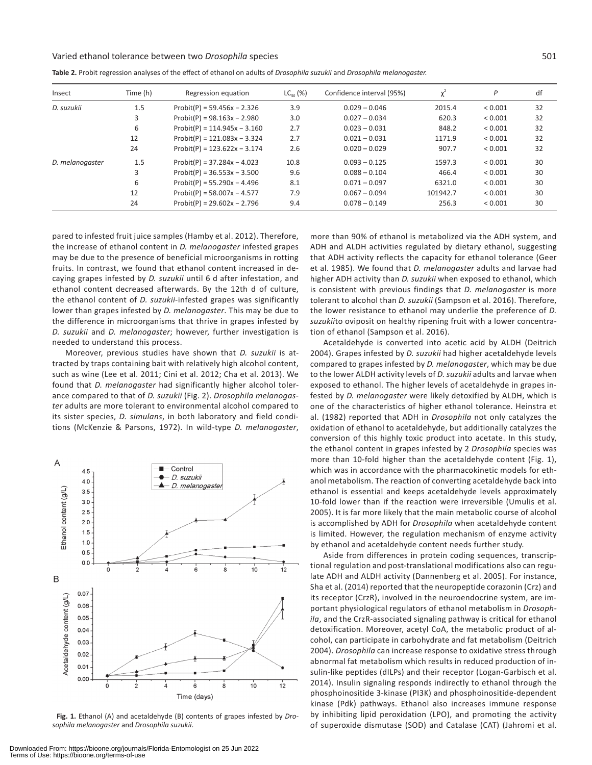## Varied ethanol tolerance between two *Drosophila* species 501

| Insect          | Time (h) | Regression equation             | $LC_{\scriptscriptstyle{en}}$ (%) | Confidence interval (95%) | $v^2$    | P           | df |
|-----------------|----------|---------------------------------|-----------------------------------|---------------------------|----------|-------------|----|
| D. suzukii      | 1.5      | $Problem(P) = 59.456x - 2.326$  | 3.9                               | $0.029 - 0.046$           | 2015.4   | ${}< 0.001$ | 32 |
|                 | 3        | $Problem(P) = 98.163x - 2.980$  | 3.0                               | $0.027 - 0.034$           | 620.3    | ${}< 0.001$ | 32 |
|                 | 6        | $Problem(P) = 114.945x - 3.160$ | 2.7                               | $0.023 - 0.031$           | 848.2    | ${}< 0.001$ | 32 |
|                 | 12       | $Problem(P) = 121.083x - 3.324$ | 2.7                               | $0.021 - 0.031$           | 1171.9   | ${}< 0.001$ | 32 |
|                 | 24       | $Problem(P) = 123.622x - 3.174$ | 2.6                               | $0.020 - 0.029$           | 907.7    | ${}< 0.001$ | 32 |
| D. melanogaster | 1.5      | $Problem(P) = 37.284x - 4.023$  | 10.8                              | $0.093 - 0.125$           | 1597.3   | ${}< 0.001$ | 30 |
|                 | 3        | $Problem(P) = 36.553x - 3.500$  | 9.6                               | $0.088 - 0.104$           | 466.4    | ${}< 0.001$ | 30 |
|                 | 6        | $Problem(P) = 55.290x - 4.496$  | 8.1                               | $0.071 - 0.097$           | 6321.0   | ${}< 0.001$ | 30 |
|                 | 12       | $Problem(P) = 58.007x - 4.577$  | 7.9                               | $0.067 - 0.094$           | 101942.7 | ${}< 0.001$ | 30 |
|                 | 24       | $Problem(P) = 29.602x - 2.796$  | 9.4                               | $0.078 - 0.149$           | 256.3    | ${}< 0.001$ | 30 |

**Table 2.** Probit regression analyses of the effect of ethanol on adults of *Drosophila suzukii* and *Drosophila melanogaster.*

pared to infested fruit juice samples (Hamby et al. 2012). Therefore, the increase of ethanol content in *D. melanogaster* infested grapes may be due to the presence of beneficial microorganisms in rotting fruits. In contrast, we found that ethanol content increased in decaying grapes infested by *D. suzukii* until 6 d after infestation, and ethanol content decreased afterwards. By the 12th d of culture, the ethanol content of *D. suzukii*-infested grapes was significantly lower than grapes infested by *D. melanogaster*. This may be due to the difference in microorganisms that thrive in grapes infested by *D. suzukii* and *D. melanogaster*; however, further investigation is needed to understand this process.

Moreover, previous studies have shown that *D. suzukii* is attracted by traps containing bait with relatively high alcohol content, such as wine (Lee et al. 2011; Cini et al. 2012; Cha et al. 2013). We found that *D. melanogaster* had significantly higher alcohol tolerance compared to that of *D. suzukii* (Fig. 2). *Drosophila melanogaster* adults are more tolerant to environmental alcohol compared to its sister species, *D. simulans*, in both laboratory and field conditions (McKenzie & Parsons, 1972). In wild-type *D. melanogaster*,



**Fig. 1.** Ethanol (A) and acetaldehyde (B) contents of grapes infested by *Drosophila melanogaster* and *Drosophila suzukii*.

more than 90% of ethanol is metabolized via the ADH system, and ADH and ALDH activities regulated by dietary ethanol, suggesting that ADH activity reflects the capacity for ethanol tolerance (Geer et al. 1985). We found that *D. melanogaster* adults and larvae had higher ADH activity than *D. suzukii* when exposed to ethanol, which is consistent with previous findings that *D. melanogaster* is more tolerant to alcohol than *D. suzukii* (Sampson et al. 2016). Therefore, the lower resistance to ethanol may underlie the preference of *D. suzukii*to oviposit on healthy ripening fruit with a lower concentration of ethanol (Sampson et al. 2016).

Acetaldehyde is converted into acetic acid by ALDH (Deitrich 2004). Grapes infested by *D. suzukii* had higher acetaldehyde levels compared to grapes infested by *D. melanogaster*, which may be due to the lower ALDH activity levels of *D. suzukii* adults and larvae when exposed to ethanol. The higher levels of acetaldehyde in grapes infested by *D. melanogaster* were likely detoxified by ALDH, which is one of the characteristics of higher ethanol tolerance. Heinstra et al. (1982) reported that ADH in *Drosophila* not only catalyzes the oxidation of ethanol to acetaldehyde, but additionally catalyzes the conversion of this highly toxic product into acetate. In this study, the ethanol content in grapes infested by 2 *Drosophila* species was more than 10-fold higher than the acetaldehyde content (Fig. 1), which was in accordance with the pharmacokinetic models for ethanol metabolism. The reaction of converting acetaldehyde back into ethanol is essential and keeps acetaldehyde levels approximately 10-fold lower than if the reaction were irreversible (Umulis et al. 2005). It is far more likely that the main metabolic course of alcohol is accomplished by ADH for *Drosophila* when acetaldehyde content is limited. However, the regulation mechanism of enzyme activity by ethanol and acetaldehyde content needs further study.

Aside from differences in protein coding sequences, transcriptional regulation and post-translational modifications also can regulate ADH and ALDH activity (Dannenberg et al. 2005). For instance, Sha et al. (2014) reported that the neuropeptide corazonin (Crz) and its receptor (CrzR), involved in the neuroendocrine system, are important physiological regulators of ethanol metabolism in *Drosophila*, and the CrzR-associated signaling pathway is critical for ethanol detoxification. Moreover, acetyl CoA, the metabolic product of alcohol, can participate in carbohydrate and fat metabolism (Deitrich 2004). *Drosophila* can increase response to oxidative stress through abnormal fat metabolism which results in reduced production of insulin-like peptides (dILPs) and their receptor (Logan-Garbisch et al. 2014). Insulin signaling responds indirectly to ethanol through the phosphoinositide 3-kinase (PI3K) and phosphoinositide-dependent kinase (Pdk) pathways. Ethanol also increases immune response by inhibiting lipid peroxidation (LPO), and promoting the activity of superoxide dismutase (SOD) and Catalase (CAT) (Jahromi et al.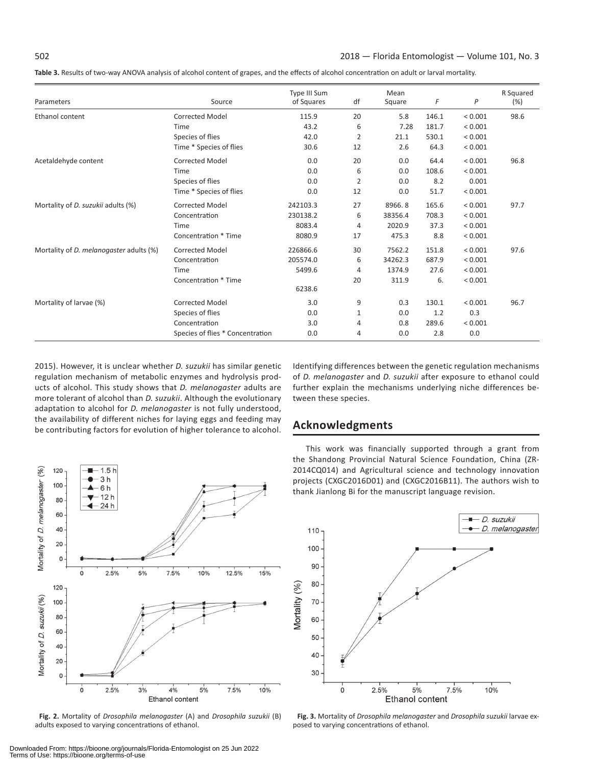**Table 3.** Results of two-way ANOVA analysis of alcohol content of grapes, and the effects of alcohol concentration on adult or larval mortality.

| Parameters                                     | Source                           | Type III Sum<br>of Squares | df           | Mean<br>Square | F     | P           | R Squared<br>(%) |
|------------------------------------------------|----------------------------------|----------------------------|--------------|----------------|-------|-------------|------------------|
| Ethanol content                                | <b>Corrected Model</b>           | 115.9                      | 20           | 5.8            | 146.1 | ${}< 0.001$ | 98.6             |
|                                                | Time                             | 43.2                       | 6            | 7.28           | 181.7 | < 0.001     |                  |
|                                                | Species of flies                 | 42.0                       | 2            | 21.1           | 530.1 | < 0.001     |                  |
|                                                | Time * Species of flies          | 30.6                       | 12           | 2.6            | 64.3  | ${}< 0.001$ |                  |
| Acetaldehyde content                           | <b>Corrected Model</b>           | 0.0                        | 20           | 0.0            | 64.4  | ${}< 0.001$ | 96.8             |
|                                                | Time                             | 0.0                        | 6            | 0.0            | 108.6 | < 0.001     |                  |
|                                                | Species of flies                 | 0.0                        | 2            | 0.0            | 8.2   | 0.001       |                  |
|                                                | Time * Species of flies          | 0.0                        | 12           | 0.0            | 51.7  | < 0.001     |                  |
| Mortality of <i>D. suzukii</i> adults (%)      | <b>Corrected Model</b>           | 242103.3                   | 27           | 8966.8         | 165.6 | ${}< 0.001$ | 97.7             |
|                                                | Concentration                    | 230138.2                   | 6            | 38356.4        | 708.3 | ${}< 0.001$ |                  |
|                                                | Time                             | 8083.4                     | 4            | 2020.9         | 37.3  | ${}< 0.001$ |                  |
|                                                | Concentration * Time             | 8080.9                     | 17           | 475.3          | 8.8   | < 0.001     |                  |
| Mortality of <i>D. melanogaster</i> adults (%) | <b>Corrected Model</b>           | 226866.6                   | 30           | 7562.2         | 151.8 | < 0.001     | 97.6             |
|                                                | Concentration                    | 205574.0                   | 6            | 34262.3        | 687.9 | ${}< 0.001$ |                  |
|                                                | Time                             | 5499.6                     | 4            | 1374.9         | 27.6  | < 0.001     |                  |
|                                                | Concentration * Time             |                            | 20           | 311.9          | 6.    | < 0.001     |                  |
|                                                |                                  | 6238.6                     |              |                |       |             |                  |
| Mortality of larvae (%)                        | <b>Corrected Model</b>           | 3.0                        | 9            | 0.3            | 130.1 | ${}< 0.001$ | 96.7             |
|                                                | Species of flies                 | 0.0                        | $\mathbf{1}$ | 0.0            | 1.2   | 0.3         |                  |
|                                                | Concentration                    | 3.0                        | 4            | 0.8            | 289.6 | ${}< 0.001$ |                  |
|                                                | Species of flies * Concentration | 0.0                        | 4            | 0.0            | 2.8   | 0.0         |                  |

2015). However, it is unclear whether *D. suzukii* has similar genetic regulation mechanism of metabolic enzymes and hydrolysis products of alcohol. This study shows that *D. melanogaster* adults are more tolerant of alcohol than *D. suzukii*. Although the evolutionary adaptation to alcohol for *D. melanogaster* is not fully understood, the availability of different niches for laying eggs and feeding may be contributing factors for evolution of higher tolerance to alcohol.

 $-1.5h$ 

120

Identifying differences between the genetic regulation mechanisms of *D. melanogaster* and *D. suzukii* after exposure to ethanol could further explain the mechanisms underlying niche differences between these species.

# **Acknowledgments**

This work was financially supported through a grant from the Shandong Provincial Natural Science Foundation, China (ZR-2014CQ014) and Agricultural science and technology innovation projects (CXGC2016D01) and (CXGC2016B11). The authors wish to thank Jianlong Bi for the manuscript language revision.



**Fig. 2.** Mortality of *Drosophila melanogaster* (A) and *Drosophila suzukii* (B) adults exposed to varying concentrations of ethanol.



**Fig. 3.** Mortality of *Drosophila melanogaster* and *Drosophila suzukii* larvae exposed to varying concentrations of ethanol.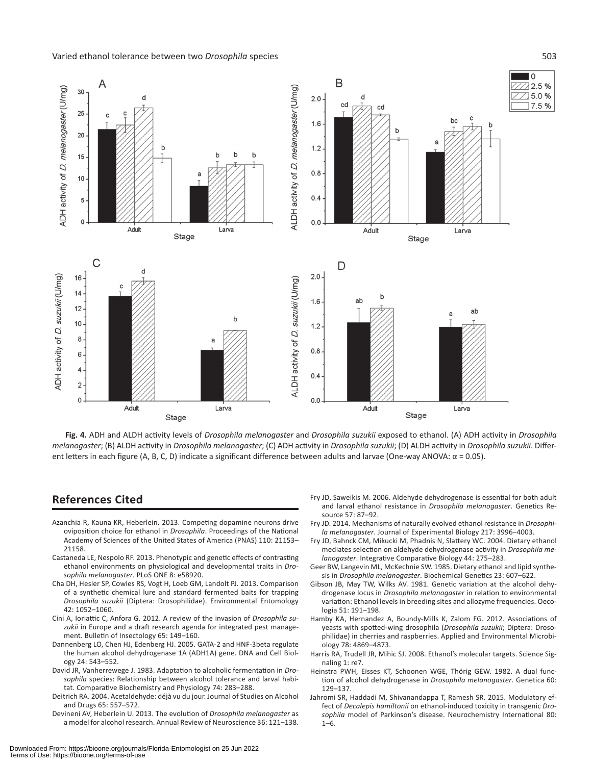Varied ethanol tolerance between two *Drosophila* species 503



**Fig. 4.** ADH and ALDH activity levels of *Drosophila melanogaster* and *Drosophila suzukii* exposed to ethanol. (A) ADH activity in *Drosophila melanogaster*; (B) ALDH activity in *Drosophila melanogaster*; (C) ADH activity in *Drosophila suzukii*; (D) ALDH activity in *Drosophila suzukii*. Different letters in each figure (A, B, C, D) indicate a significant difference between adults and larvae (One-way ANOVA:  $α = 0.05$ ).

# **References Cited**

- Azanchia R, Kauna KR, Heberlein. 2013. Competing dopamine neurons drive oviposition choice for ethanol in *Drosophila*. Proceedings of the National Academy of Sciences of the United States of America (PNAS) 110: 21153– 21158.
- Castaneda LE, Nespolo RF. 2013. Phenotypic and genetic effects of contrasting ethanol environments on physiological and developmental traits in *Drosophila melanogaster*. PLoS ONE 8: e58920.
- Cha DH, Hesler SP, Cowles RS, Vogt H, Loeb GM, Landolt PJ. 2013. Comparison of a synthetic chemical lure and standard fermented baits for trapping *Drosophila suzukii* (Diptera: Drosophilidae). Environmental Entomology 42: 1052–1060.
- Cini A, Ioriattic C, Anfora G. 2012. A review of the invasion of *Drosophila suzukii* in Europe and a draft research agenda for integrated pest management. Bulletin of Insectology 65: 149–160.
- Dannenberg LO, Chen HJ, Edenberg HJ. 2005. GATA-2 and HNF-3beta regulate the human alcohol dehydrogenase 1A (ADH1A) gene. DNA and Cell Biology 24: 543–552.
- David JR, Vanherrewege J. 1983. Adaptation to alcoholic fermentation in *Drosophila* species: Relationship between alcohol tolerance and larval habitat. Comparative Biochemistry and Physiology 74: 283–288.
- Deitrich RA. 2004. Acetaldehyde: déjà vu du jour. Journal of Studies on Alcohol and Drugs 65: 557–572.
- Devineni AV, Heberlein U. 2013. The evolution of *Drosophila melanogaster* as a model for alcohol research. Annual Review of Neuroscience 36: 121–138.
- Fry JD, Saweikis M. 2006. Aldehyde dehydrogenase is essential for both adult and larval ethanol resistance in *Drosophila melanogaster*. Genetics Resource 57: 87–92.
- Fry JD. 2014. Mechanisms of naturally evolved ethanol resistance in *Drosophila melanogaster*. Journal of Experimental Biology 217: 3996–4003.
- Fry JD, Bahnck CM, Mikucki M, Phadnis N, Slattery WC. 2004. Dietary ethanol mediates selection on aldehyde dehydrogenase activity in *Drosophila melanogaster*. Integrative Comparative Biology 44: 275–283.
- Geer BW, Langevin ML, McKechnie SW. 1985. Dietary ethanol and lipid synthesis in *Drosophila melanogaster*. Biochemical Genetics 23: 607–622.
- Gibson JB, May TW, Wilks AV. 1981. Genetic variation at the alcohol dehydrogenase locus in *Drosophila melanogaster* in relation to environmental variation: Ethanol levels in breeding sites and allozyme frequencies. Oecologia 51: 191–198.
- Hamby KA, Hernandez A, Boundy-Mills K, Zalom FG. 2012. Associations of yeasts with spotted-wing drosophila (*Drosophila suzukii*; Diptera: Drosophilidae) in cherries and raspberries. Applied and Environmental Microbiology 78: 4869–4873.
- Harris RA, Trudell JR, Mihic SJ. 2008. Ethanol's molecular targets. Science Signaling 1: re7.
- Heinstra PWH, Eisses KT, Schoonen WGE, Thörig GEW. 1982. A dual function of alcohol dehydrogenase in *Drosophila melanogaster*. Genetica 60: 129–137.
- Jahromi SR, Haddadi M, Shivanandappa T, Ramesh SR. 2015. Modulatory effect of *Decalepis hamiltonii* on ethanol-induced toxicity in transgenic *Drosophila* model of Parkinson's disease. Neurochemistry International 80:  $1 - 6$ .

Downloaded From: https://bioone.org/journals/Florida-Entomologist on 25 Jun 2022 Terms of Use: https://bioone.org/terms-of-use